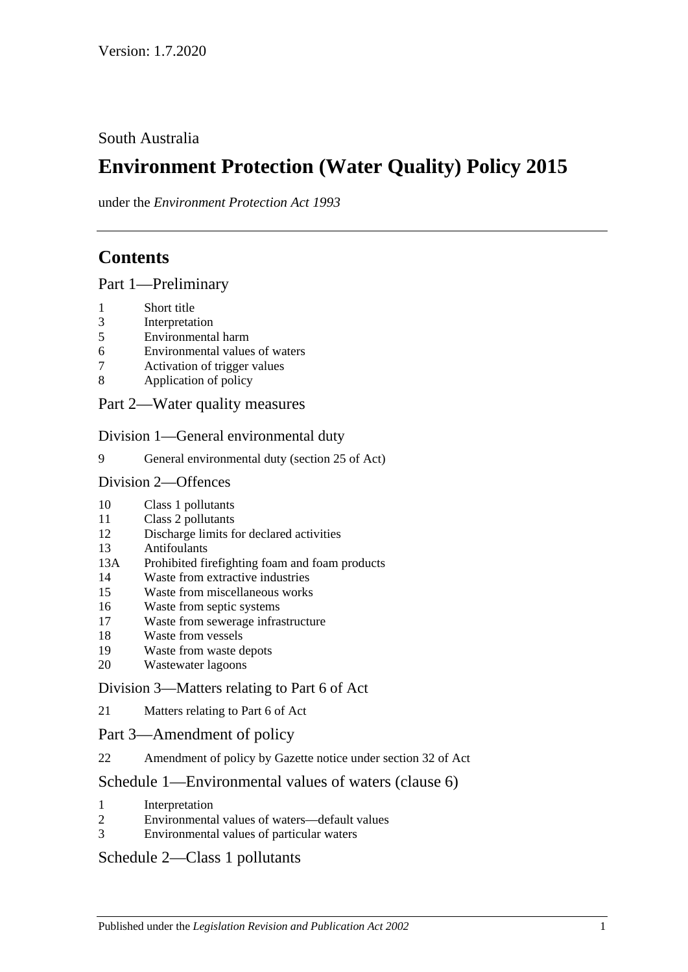## South Australia

# **Environment Protection (Water Quality) Policy 2015**

under the *Environment Protection Act 1993*

# **Contents**

Part [1—Preliminary](#page-1-0)

- [Short title](#page-1-1)
- [Interpretation](#page-1-2)
- [Environmental harm](#page-4-0)
- [Environmental values of waters](#page-4-1)
- [Activation of trigger values](#page-5-0)
- [Application of policy](#page-6-0)
- Part [2—Water quality measures](#page-7-0)

Division [1—General environmental duty](#page-7-1)

[General environmental duty \(section 25 of Act\)](#page-7-2)

#### Division [2—Offences](#page-7-3)

- [Class 1 pollutants](#page-7-4)
- [Class 2 pollutants](#page-8-0)
- [Discharge limits for declared activities](#page-8-1)
- [Antifoulants](#page-9-0)
- 13A [Prohibited firefighting foam and foam products](#page-9-1)
- [Waste from extractive industries](#page-11-0)
- [Waste from miscellaneous works](#page-11-1)
- [Waste from septic systems](#page-12-0)
- [Waste from sewerage infrastructure](#page-13-0)
- [Waste from vessels](#page-13-1)
- [Waste from waste depots](#page-16-0)
- [Wastewater lagoons](#page-16-1)

### Division [3—Matters relating to Part](#page-16-2) 6 of Act

[Matters relating to Part](#page-16-3) 6 of Act

### Part [3—Amendment of policy](#page-17-0)

[Amendment of policy by Gazette notice under section](#page-17-1) 32 of Act

## Schedule [1—Environmental values of waters \(clause](#page-17-2) 6)

- [Interpretation](#page-17-3)
- [Environmental values of waters—default values](#page-18-0)
- [Environmental values of particular waters](#page-18-1)

## Schedule [2—Class 1 pollutants](#page-19-0)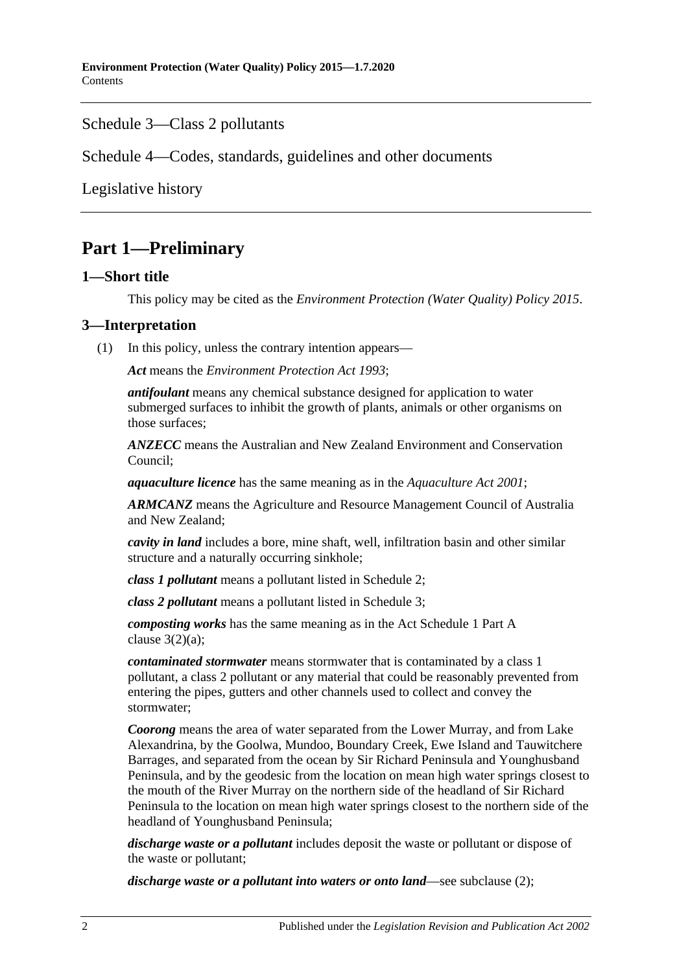### Schedule [3—Class 2 pollutants](#page-20-0)

Schedule [4—Codes, standards, guidelines and other documents](#page-21-0)

[Legislative history](#page-23-0)

# <span id="page-1-0"></span>**Part 1—Preliminary**

#### <span id="page-1-1"></span>**1—Short title**

This policy may be cited as the *[Environment Protection \(Water Quality\) Policy](http://www.legislation.sa.gov.au/index.aspx?action=legref&type=subordleg&legtitle=Environment%20Protection%20(Water%20Quality)%20Policy%202015) 2015*.

### <span id="page-1-2"></span>**3—Interpretation**

(1) In this policy, unless the contrary intention appears—

*Act* means the *[Environment Protection Act](http://www.legislation.sa.gov.au/index.aspx?action=legref&type=act&legtitle=Environment%20Protection%20Act%201993) 1993*;

*antifoulant* means any chemical substance designed for application to water submerged surfaces to inhibit the growth of plants, animals or other organisms on those surfaces;

*ANZECC* means the Australian and New Zealand Environment and Conservation Council;

*aquaculture licence* has the same meaning as in the *[Aquaculture Act](http://www.legislation.sa.gov.au/index.aspx?action=legref&type=act&legtitle=Aquaculture%20Act%202001) 2001*;

*ARMCANZ* means the Agriculture and Resource Management Council of Australia and New Zealand;

*cavity in land* includes a bore, mine shaft, well, infiltration basin and other similar structure and a naturally occurring sinkhole;

*class 1 pollutant* means a pollutant listed in [Schedule](#page-19-0) 2;

*class 2 pollutant* means a pollutant listed in [Schedule](#page-20-0) 3;

*composting works* has the same meaning as in the Act Schedule 1 Part A clause  $3(2)(a)$ ;

*contaminated stormwater* means stormwater that is contaminated by a class 1 pollutant, a class 2 pollutant or any material that could be reasonably prevented from entering the pipes, gutters and other channels used to collect and convey the stormwater;

*Coorong* means the area of water separated from the Lower Murray, and from Lake Alexandrina, by the Goolwa, Mundoo, Boundary Creek, Ewe Island and Tauwitchere Barrages, and separated from the ocean by Sir Richard Peninsula and Younghusband Peninsula, and by the geodesic from the location on mean high water springs closest to the mouth of the River Murray on the northern side of the headland of Sir Richard Peninsula to the location on mean high water springs closest to the northern side of the headland of Younghusband Peninsula;

*discharge waste or a pollutant* includes deposit the waste or pollutant or dispose of the waste or pollutant;

*discharge waste or a pollutant into waters or onto land*—see [subclause](#page-4-2) (2);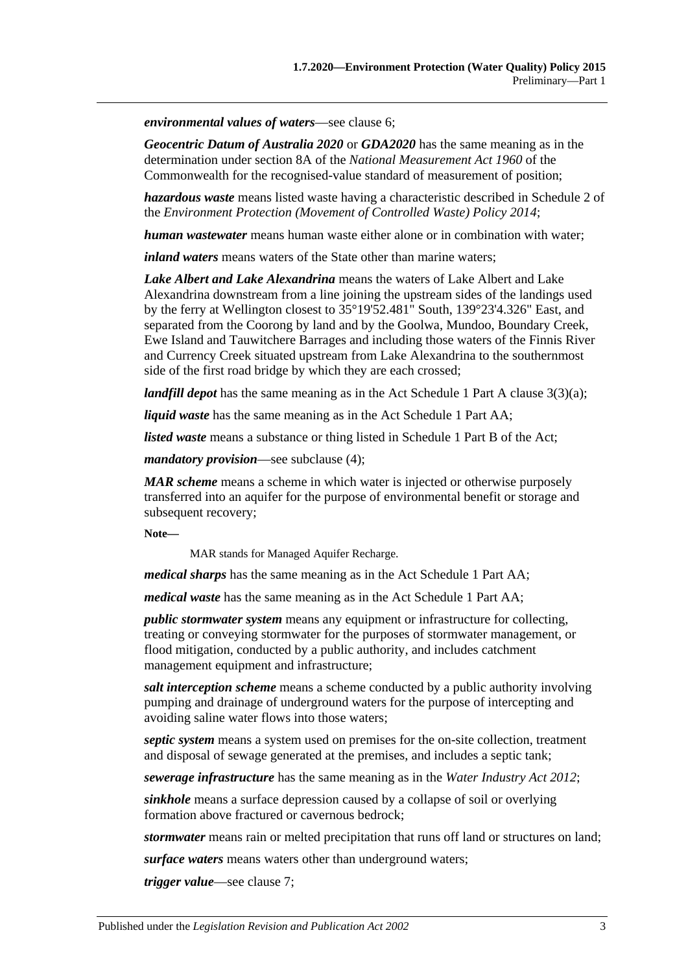*environmental values of waters*—see [clause](#page-4-1) 6;

*Geocentric Datum of Australia 2020* or *GDA2020* has the same meaning as in the determination under section 8A of the *National Measurement Act 1960* of the Commonwealth for the recognised-value standard of measurement of position;

*hazardous waste* means listed waste having a characteristic described in Schedule 2 of the *[Environment Protection \(Movement of Controlled Waste\) Policy](http://www.legislation.sa.gov.au/index.aspx?action=legref&type=subordleg&legtitle=Environment%20Protection%20(Movement%20of%20Controlled%20Waste)%20Policy%202014) 2014*;

*human wastewater* means human waste either alone or in combination with water;

*inland waters* means waters of the State other than marine waters;

*Lake Albert and Lake Alexandrina* means the waters of Lake Albert and Lake Alexandrina downstream from a line joining the upstream sides of the landings used by the ferry at Wellington closest to 35°19'52.481" South, 139°23'4.326" East, and separated from the Coorong by land and by the Goolwa, Mundoo, Boundary Creek, Ewe Island and Tauwitchere Barrages and including those waters of the Finnis River and Currency Creek situated upstream from Lake Alexandrina to the southernmost side of the first road bridge by which they are each crossed;

*landfill depot* has the same meaning as in the Act Schedule 1 Part A clause 3(3)(a);

*liquid waste* has the same meaning as in the Act Schedule 1 Part AA;

*listed waste* means a substance or thing listed in Schedule 1 Part B of the Act;

*mandatory provision*—see [subclause](#page-4-3) (4);

*MAR scheme* means a scheme in which water is injected or otherwise purposely transferred into an aquifer for the purpose of environmental benefit or storage and subsequent recovery;

**Note—**

MAR stands for Managed Aquifer Recharge.

*medical sharps* has the same meaning as in the Act Schedule 1 Part AA;

*medical waste* has the same meaning as in the Act Schedule 1 Part AA;

*public stormwater system* means any equipment or infrastructure for collecting, treating or conveying stormwater for the purposes of stormwater management, or flood mitigation, conducted by a public authority, and includes catchment management equipment and infrastructure;

*salt interception scheme* means a scheme conducted by a public authority involving pumping and drainage of underground waters for the purpose of intercepting and avoiding saline water flows into those waters;

*septic system* means a system used on premises for the on-site collection, treatment and disposal of sewage generated at the premises, and includes a septic tank;

*sewerage infrastructure* has the same meaning as in the *[Water Industry Act](http://www.legislation.sa.gov.au/index.aspx?action=legref&type=act&legtitle=Water%20Industry%20Act%202012) 2012*;

*sinkhole* means a surface depression caused by a collapse of soil or overlying formation above fractured or cavernous bedrock;

*stormwater* means rain or melted precipitation that runs off land or structures on land;

*surface waters* means waters other than underground waters;

*trigger value*—see [clause](#page-5-0) 7;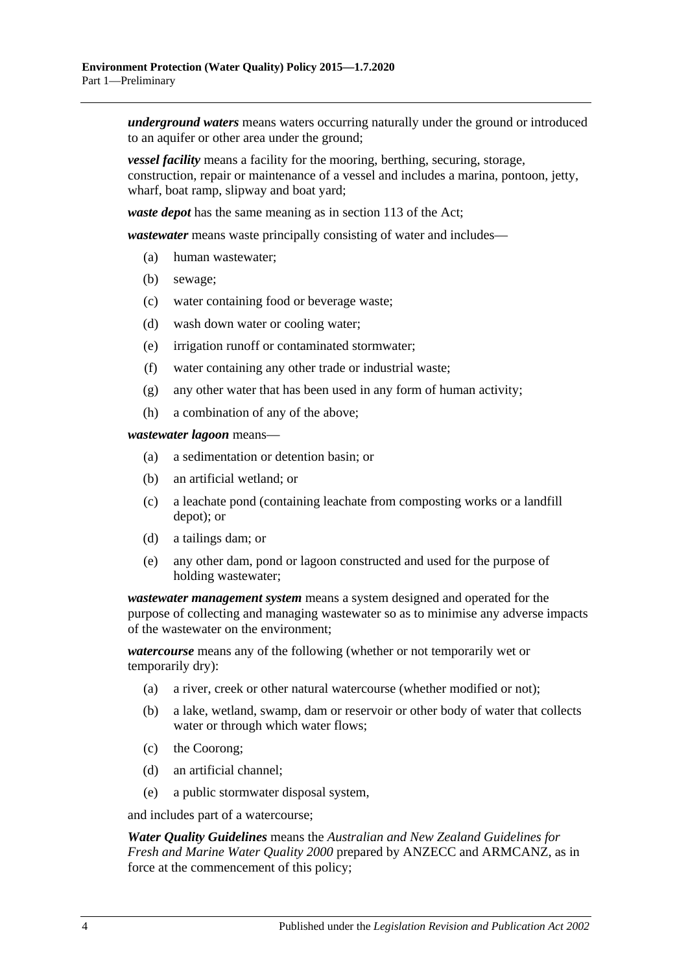*underground waters* means waters occurring naturally under the ground or introduced to an aquifer or other area under the ground;

*vessel facility* means a facility for the mooring, berthing, securing, storage, construction, repair or maintenance of a vessel and includes a marina, pontoon, jetty, wharf, boat ramp, slipway and boat yard;

*waste depot* has the same meaning as in section 113 of the Act;

*wastewater* means waste principally consisting of water and includes—

- (a) human wastewater;
- (b) sewage;
- (c) water containing food or beverage waste;
- (d) wash down water or cooling water;
- (e) irrigation runoff or contaminated stormwater;
- (f) water containing any other trade or industrial waste;
- (g) any other water that has been used in any form of human activity;
- (h) a combination of any of the above;

*wastewater lagoon* means—

- (a) a sedimentation or detention basin; or
- (b) an artificial wetland; or
- (c) a leachate pond (containing leachate from composting works or a landfill depot); or
- (d) a tailings dam; or
- (e) any other dam, pond or lagoon constructed and used for the purpose of holding wastewater;

*wastewater management system* means a system designed and operated for the purpose of collecting and managing wastewater so as to minimise any adverse impacts of the wastewater on the environment;

*watercourse* means any of the following (whether or not temporarily wet or temporarily dry):

- (a) a river, creek or other natural watercourse (whether modified or not);
- (b) a lake, wetland, swamp, dam or reservoir or other body of water that collects water or through which water flows;
- (c) the Coorong;
- (d) an artificial channel;
- (e) a public stormwater disposal system,

and includes part of a watercourse;

*Water Quality Guidelines* means the *Australian and New Zealand Guidelines for Fresh and Marine Water Quality 2000* prepared by ANZECC and ARMCANZ, as in force at the commencement of this policy;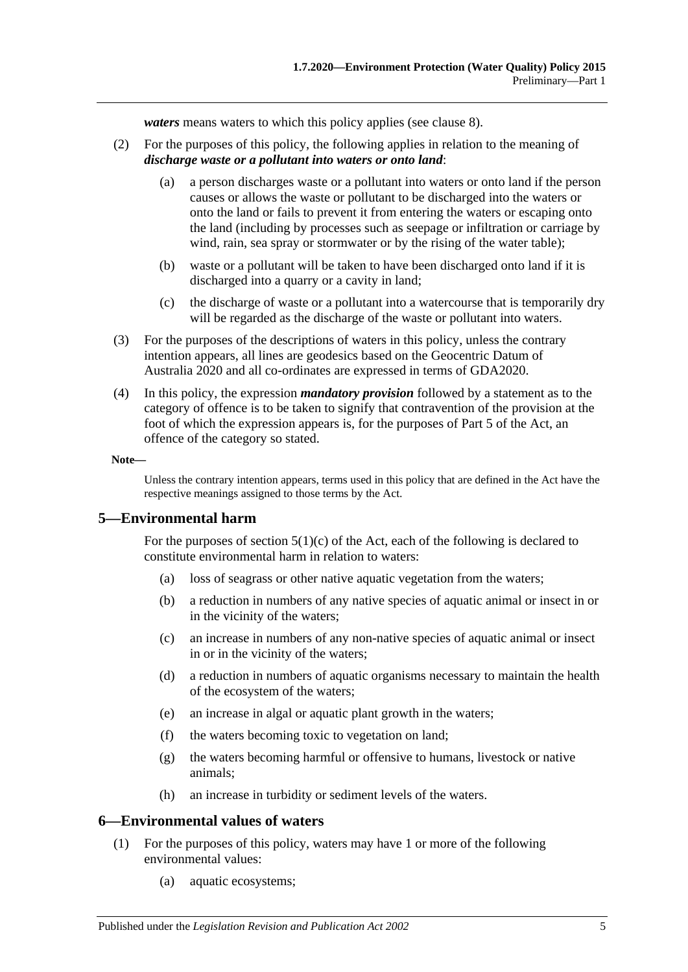*waters* means waters to which this policy applies (see [clause](#page-6-0) 8).

- <span id="page-4-2"></span>(2) For the purposes of this policy, the following applies in relation to the meaning of *discharge waste or a pollutant into waters or onto land*:
	- (a) a person discharges waste or a pollutant into waters or onto land if the person causes or allows the waste or pollutant to be discharged into the waters or onto the land or fails to prevent it from entering the waters or escaping onto the land (including by processes such as seepage or infiltration or carriage by wind, rain, sea spray or stormwater or by the rising of the water table);
	- (b) waste or a pollutant will be taken to have been discharged onto land if it is discharged into a quarry or a cavity in land;
	- (c) the discharge of waste or a pollutant into a watercourse that is temporarily dry will be regarded as the discharge of the waste or pollutant into waters.
- (3) For the purposes of the descriptions of waters in this policy, unless the contrary intention appears, all lines are geodesics based on the Geocentric Datum of Australia 2020 and all co-ordinates are expressed in terms of GDA2020.
- <span id="page-4-3"></span>(4) In this policy, the expression *mandatory provision* followed by a statement as to the category of offence is to be taken to signify that contravention of the provision at the foot of which the expression appears is, for the purposes of Part 5 of the Act, an offence of the category so stated.

#### **Note—**

Unless the contrary intention appears, terms used in this policy that are defined in the Act have the respective meanings assigned to those terms by the Act.

#### <span id="page-4-0"></span>**5—Environmental harm**

For the purposes of section  $5(1)(c)$  of the Act, each of the following is declared to constitute environmental harm in relation to waters:

- (a) loss of seagrass or other native aquatic vegetation from the waters;
- (b) a reduction in numbers of any native species of aquatic animal or insect in or in the vicinity of the waters;
- (c) an increase in numbers of any non-native species of aquatic animal or insect in or in the vicinity of the waters;
- (d) a reduction in numbers of aquatic organisms necessary to maintain the health of the ecosystem of the waters;
- (e) an increase in algal or aquatic plant growth in the waters;
- (f) the waters becoming toxic to vegetation on land;
- (g) the waters becoming harmful or offensive to humans, livestock or native animals;
- (h) an increase in turbidity or sediment levels of the waters.

#### <span id="page-4-1"></span>**6—Environmental values of waters**

- (1) For the purposes of this policy, waters may have 1 or more of the following environmental values:
	- (a) aquatic ecosystems;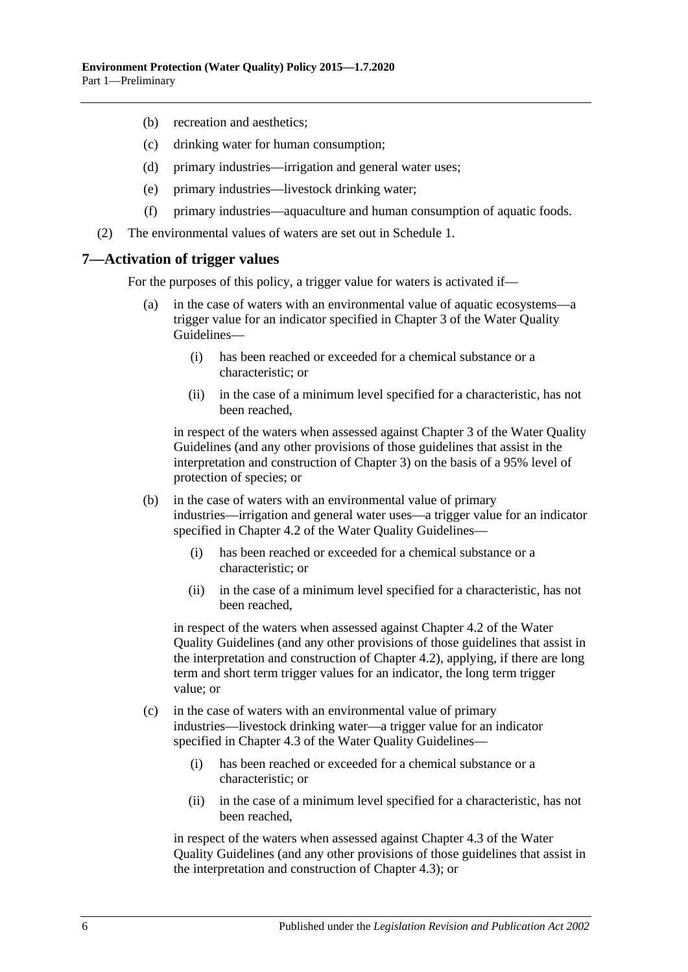- (b) recreation and aesthetics;
- (c) drinking water for human consumption;
- (d) primary industries—irrigation and general water uses;
- (e) primary industries—livestock drinking water;
- (f) primary industries—aquaculture and human consumption of aquatic foods.
- (2) The environmental values of waters are set out in [Schedule](#page-17-2) 1.

#### <span id="page-5-0"></span>**7—Activation of trigger values**

For the purposes of this policy, a trigger value for waters is activated if—

- (a) in the case of waters with an environmental value of aquatic ecosystems—a trigger value for an indicator specified in Chapter 3 of the Water Quality Guidelines—
	- (i) has been reached or exceeded for a chemical substance or a characteristic; or
	- (ii) in the case of a minimum level specified for a characteristic, has not been reached,

in respect of the waters when assessed against Chapter 3 of the Water Quality Guidelines (and any other provisions of those guidelines that assist in the interpretation and construction of Chapter 3) on the basis of a 95% level of protection of species; or

- (b) in the case of waters with an environmental value of primary industries—irrigation and general water uses—a trigger value for an indicator specified in Chapter 4.2 of the Water Quality Guidelines—
	- (i) has been reached or exceeded for a chemical substance or a characteristic; or
	- (ii) in the case of a minimum level specified for a characteristic, has not been reached,

in respect of the waters when assessed against Chapter 4.2 of the Water Quality Guidelines (and any other provisions of those guidelines that assist in the interpretation and construction of Chapter 4.2), applying, if there are long term and short term trigger values for an indicator, the long term trigger value; or

- (c) in the case of waters with an environmental value of primary industries—livestock drinking water—a trigger value for an indicator specified in Chapter 4.3 of the Water Quality Guidelines—
	- (i) has been reached or exceeded for a chemical substance or a characteristic; or
	- (ii) in the case of a minimum level specified for a characteristic, has not been reached,

in respect of the waters when assessed against Chapter 4.3 of the Water Quality Guidelines (and any other provisions of those guidelines that assist in the interpretation and construction of Chapter 4.3); or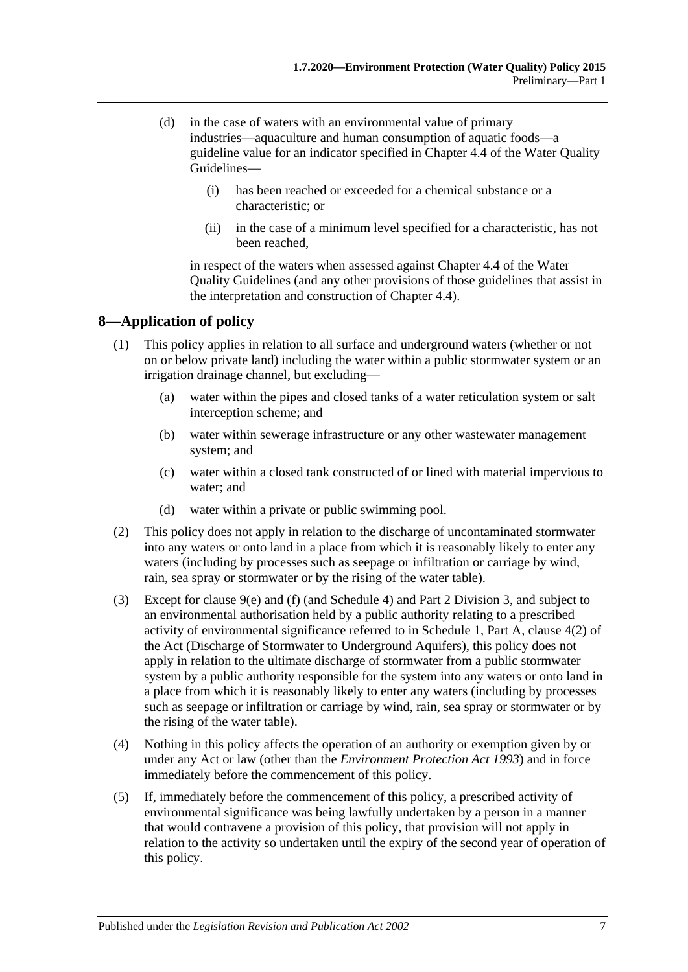- (d) in the case of waters with an environmental value of primary industries—aquaculture and human consumption of aquatic foods—a guideline value for an indicator specified in Chapter 4.4 of the Water Quality Guidelines—
	- (i) has been reached or exceeded for a chemical substance or a characteristic; or
	- (ii) in the case of a minimum level specified for a characteristic, has not been reached,

in respect of the waters when assessed against Chapter 4.4 of the Water Quality Guidelines (and any other provisions of those guidelines that assist in the interpretation and construction of Chapter 4.4).

## <span id="page-6-0"></span>**8—Application of policy**

- (1) This policy applies in relation to all surface and underground waters (whether or not on or below private land) including the water within a public stormwater system or an irrigation drainage channel, but excluding—
	- (a) water within the pipes and closed tanks of a water reticulation system or salt interception scheme; and
	- (b) water within sewerage infrastructure or any other wastewater management system; and
	- (c) water within a closed tank constructed of or lined with material impervious to water; and
	- (d) water within a private or public swimming pool.
- (2) This policy does not apply in relation to the discharge of uncontaminated stormwater into any waters or onto land in a place from which it is reasonably likely to enter any waters (including by processes such as seepage or infiltration or carriage by wind, rain, sea spray or stormwater or by the rising of the water table).
- (3) Except for [clause](#page-7-5) 9(e) and [\(f\)](#page-7-6) (and [Schedule](#page-21-0) 4) and Part [2 Division](#page-16-2) 3, and subject to an environmental authorisation held by a public authority relating to a prescribed activity of environmental significance referred to in Schedule 1, Part A, clause 4(2) of the Act (Discharge of Stormwater to Underground Aquifers), this policy does not apply in relation to the ultimate discharge of stormwater from a public stormwater system by a public authority responsible for the system into any waters or onto land in a place from which it is reasonably likely to enter any waters (including by processes such as seepage or infiltration or carriage by wind, rain, sea spray or stormwater or by the rising of the water table).
- (4) Nothing in this policy affects the operation of an authority or exemption given by or under any Act or law (other than the *[Environment Protection Act](http://www.legislation.sa.gov.au/index.aspx?action=legref&type=act&legtitle=Environment%20Protection%20Act%201993) 1993*) and in force immediately before the commencement of this policy.
- (5) If, immediately before the commencement of this policy, a prescribed activity of environmental significance was being lawfully undertaken by a person in a manner that would contravene a provision of this policy, that provision will not apply in relation to the activity so undertaken until the expiry of the second year of operation of this policy.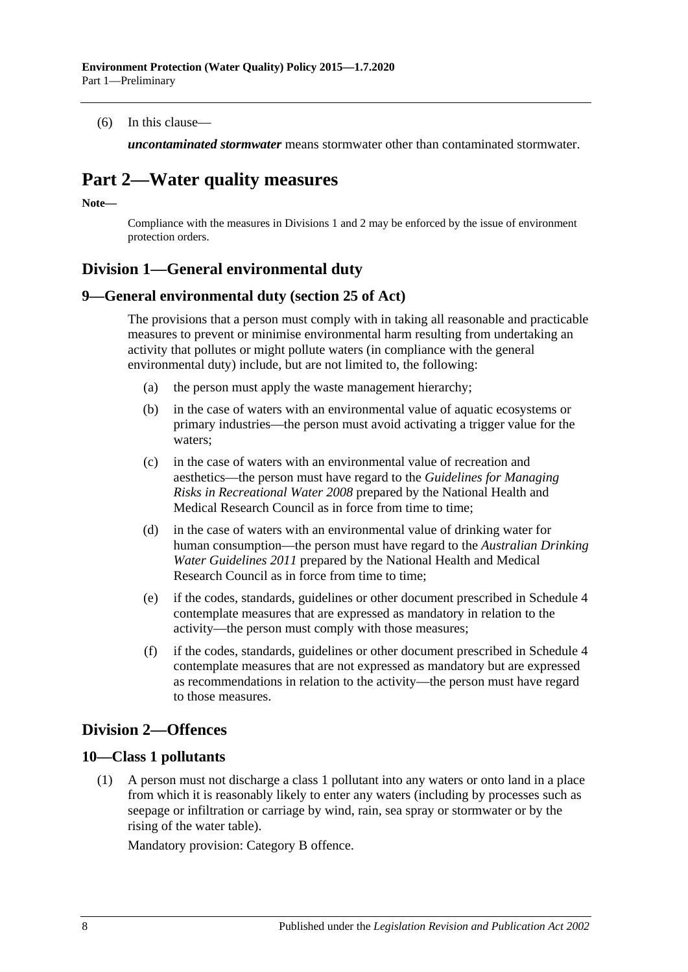(6) In this clause—

*uncontaminated stormwater* means stormwater other than contaminated stormwater.

# <span id="page-7-0"></span>**Part 2—Water quality measures**

**Note—**

Compliance with the measures in [Divisions](#page-7-1) 1 and 2 may be enforced by the issue of environment protection orders.

## <span id="page-7-1"></span>**Division 1—General environmental duty**

#### <span id="page-7-2"></span>**9—General environmental duty (section 25 of Act)**

The provisions that a person must comply with in taking all reasonable and practicable measures to prevent or minimise environmental harm resulting from undertaking an activity that pollutes or might pollute waters (in compliance with the general environmental duty) include, but are not limited to, the following:

- (a) the person must apply the waste management hierarchy;
- (b) in the case of waters with an environmental value of aquatic ecosystems or primary industries—the person must avoid activating a trigger value for the waters;
- (c) in the case of waters with an environmental value of recreation and aesthetics—the person must have regard to the *Guidelines for Managing Risks in Recreational Water 2008* prepared by the National Health and Medical Research Council as in force from time to time;
- (d) in the case of waters with an environmental value of drinking water for human consumption—the person must have regard to the *Australian Drinking Water Guidelines 2011* prepared by the National Health and Medical Research Council as in force from time to time;
- <span id="page-7-5"></span>(e) if the codes, standards, guidelines or other document prescribed in [Schedule](#page-21-0) 4 contemplate measures that are expressed as mandatory in relation to the activity—the person must comply with those measures;
- <span id="page-7-6"></span>(f) if the codes, standards, guidelines or other document prescribed in [Schedule](#page-21-0) 4 contemplate measures that are not expressed as mandatory but are expressed as recommendations in relation to the activity—the person must have regard to those measures.

## <span id="page-7-3"></span>**Division 2—Offences**

### <span id="page-7-7"></span><span id="page-7-4"></span>**10—Class 1 pollutants**

(1) A person must not discharge a class 1 pollutant into any waters or onto land in a place from which it is reasonably likely to enter any waters (including by processes such as seepage or infiltration or carriage by wind, rain, sea spray or stormwater or by the rising of the water table).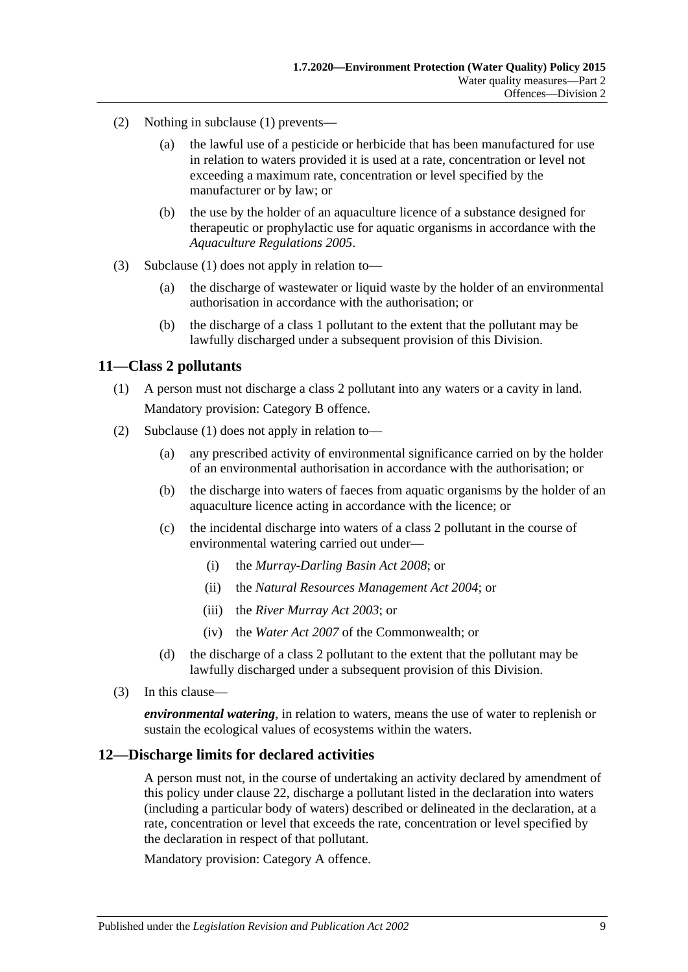- (2) Nothing in [subclause](#page-7-7) (1) prevents—
	- (a) the lawful use of a pesticide or herbicide that has been manufactured for use in relation to waters provided it is used at a rate, concentration or level not exceeding a maximum rate, concentration or level specified by the manufacturer or by law; or
	- (b) the use by the holder of an aquaculture licence of a substance designed for therapeutic or prophylactic use for aquatic organisms in accordance with the *[Aquaculture Regulations](http://www.legislation.sa.gov.au/index.aspx?action=legref&type=subordleg&legtitle=Aquaculture%20Regulations%202005) 2005*.
- (3) [Subclause](#page-7-7) (1) does not apply in relation to—
	- (a) the discharge of wastewater or liquid waste by the holder of an environmental authorisation in accordance with the authorisation; or
	- (b) the discharge of a class 1 pollutant to the extent that the pollutant may be lawfully discharged under a subsequent provision of this Division.

#### <span id="page-8-2"></span><span id="page-8-0"></span>**11—Class 2 pollutants**

- (1) A person must not discharge a class 2 pollutant into any waters or a cavity in land. Mandatory provision: Category B offence.
- (2) [Subclause](#page-8-2) (1) does not apply in relation to—
	- (a) any prescribed activity of environmental significance carried on by the holder of an environmental authorisation in accordance with the authorisation; or
	- (b) the discharge into waters of faeces from aquatic organisms by the holder of an aquaculture licence acting in accordance with the licence; or
	- (c) the incidental discharge into waters of a class 2 pollutant in the course of environmental watering carried out under—
		- (i) the *[Murray-Darling Basin Act](http://www.legislation.sa.gov.au/index.aspx?action=legref&type=act&legtitle=Murray-Darling%20Basin%20Act%202008) 2008*; or
		- (ii) the *[Natural Resources Management Act](http://www.legislation.sa.gov.au/index.aspx?action=legref&type=act&legtitle=Natural%20Resources%20Management%20Act%202004) 2004*; or
		- (iii) the *[River Murray Act](http://www.legislation.sa.gov.au/index.aspx?action=legref&type=act&legtitle=River%20Murray%20Act%202003) 2003*; or
		- (iv) the *Water Act 2007* of the Commonwealth; or
	- (d) the discharge of a class 2 pollutant to the extent that the pollutant may be lawfully discharged under a subsequent provision of this Division.
- (3) In this clause—

*environmental watering*, in relation to waters, means the use of water to replenish or sustain the ecological values of ecosystems within the waters.

#### <span id="page-8-1"></span>**12—Discharge limits for declared activities**

A person must not, in the course of undertaking an activity declared by amendment of this policy under [clause](#page-17-1) 22, discharge a pollutant listed in the declaration into waters (including a particular body of waters) described or delineated in the declaration, at a rate, concentration or level that exceeds the rate, concentration or level specified by the declaration in respect of that pollutant.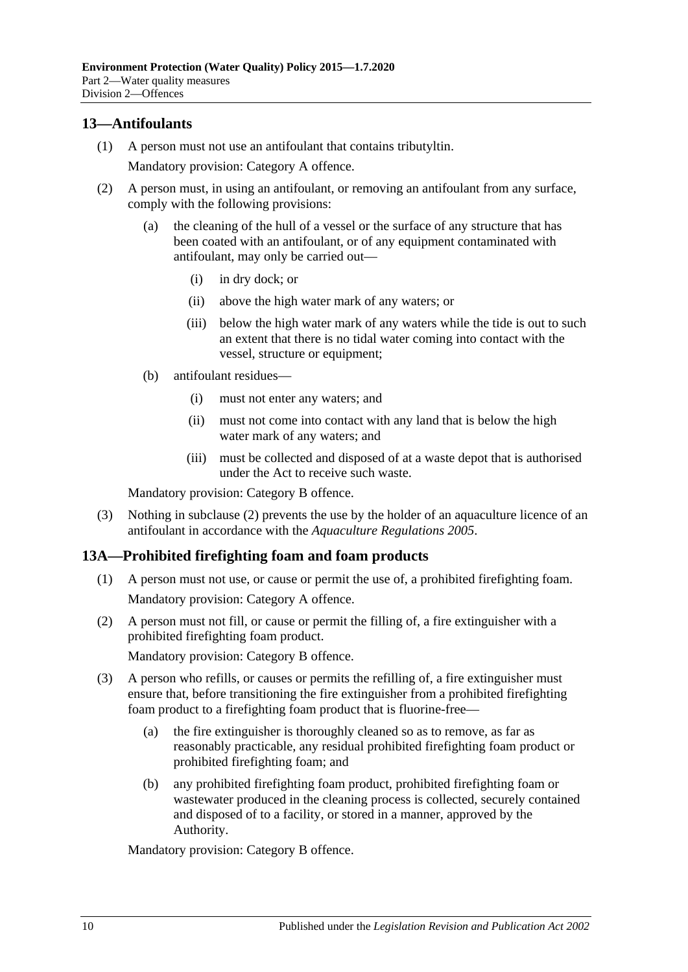### <span id="page-9-0"></span>**13—Antifoulants**

(1) A person must not use an antifoulant that contains tributyltin.

Mandatory provision: Category A offence.

- <span id="page-9-2"></span>(2) A person must, in using an antifoulant, or removing an antifoulant from any surface, comply with the following provisions:
	- (a) the cleaning of the hull of a vessel or the surface of any structure that has been coated with an antifoulant, or of any equipment contaminated with antifoulant, may only be carried out—
		- (i) in dry dock; or
		- (ii) above the high water mark of any waters; or
		- (iii) below the high water mark of any waters while the tide is out to such an extent that there is no tidal water coming into contact with the vessel, structure or equipment;
	- (b) antifoulant residues—
		- (i) must not enter any waters; and
		- (ii) must not come into contact with any land that is below the high water mark of any waters; and
		- (iii) must be collected and disposed of at a waste depot that is authorised under the Act to receive such waste.

Mandatory provision: Category B offence.

(3) Nothing in [subclause](#page-9-2) (2) prevents the use by the holder of an aquaculture licence of an antifoulant in accordance with the *[Aquaculture Regulations](http://www.legislation.sa.gov.au/index.aspx?action=legref&type=subordleg&legtitle=Aquaculture%20Regulations%202005) 2005*.

### <span id="page-9-3"></span><span id="page-9-1"></span>**13A—Prohibited firefighting foam and foam products**

- (1) A person must not use, or cause or permit the use of, a prohibited firefighting foam. Mandatory provision: Category A offence.
- <span id="page-9-4"></span>(2) A person must not fill, or cause or permit the filling of, a fire extinguisher with a prohibited firefighting foam product.

Mandatory provision: Category B offence.

- (3) A person who refills, or causes or permits the refilling of, a fire extinguisher must ensure that, before transitioning the fire extinguisher from a prohibited firefighting foam product to a firefighting foam product that is fluorine-free—
	- (a) the fire extinguisher is thoroughly cleaned so as to remove, as far as reasonably practicable, any residual prohibited firefighting foam product or prohibited firefighting foam; and
	- (b) any prohibited firefighting foam product, prohibited firefighting foam or wastewater produced in the cleaning process is collected, securely contained and disposed of to a facility, or stored in a manner, approved by the Authority.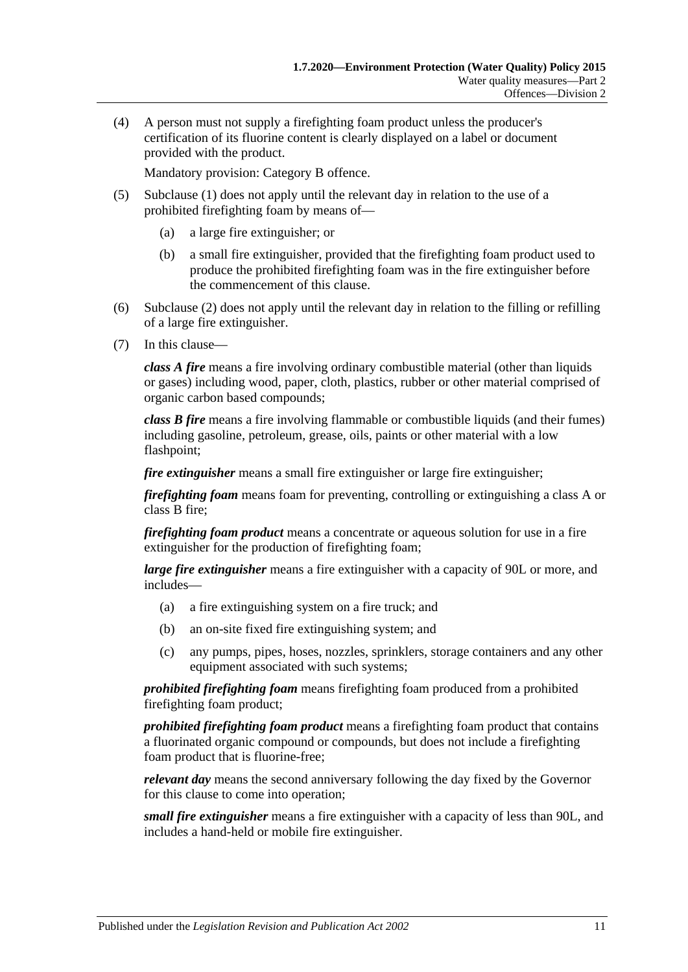(4) A person must not supply a firefighting foam product unless the producer's certification of its fluorine content is clearly displayed on a label or document provided with the product.

Mandatory provision: Category B offence.

- (5) [Subclause](#page-9-3) (1) does not apply until the relevant day in relation to the use of a prohibited firefighting foam by means of—
	- (a) a large fire extinguisher; or
	- (b) a small fire extinguisher, provided that the firefighting foam product used to produce the prohibited firefighting foam was in the fire extinguisher before the commencement of this clause.
- (6) [Subclause](#page-9-4) (2) does not apply until the relevant day in relation to the filling or refilling of a large fire extinguisher.
- (7) In this clause—

*class A fire* means a fire involving ordinary combustible material (other than liquids or gases) including wood, paper, cloth, plastics, rubber or other material comprised of organic carbon based compounds;

*class B fire* means a fire involving flammable or combustible liquids (and their fumes) including gasoline, petroleum, grease, oils, paints or other material with a low flashpoint;

*fire extinguisher* means a small fire extinguisher or large fire extinguisher;

*firefighting foam* means foam for preventing, controlling or extinguishing a class A or class B fire;

*firefighting foam product* means a concentrate or aqueous solution for use in a fire extinguisher for the production of firefighting foam;

*large fire extinguisher* means a fire extinguisher with a capacity of 90L or more, and includes—

- (a) a fire extinguishing system on a fire truck; and
- (b) an on-site fixed fire extinguishing system; and
- (c) any pumps, pipes, hoses, nozzles, sprinklers, storage containers and any other equipment associated with such systems;

*prohibited firefighting foam* means firefighting foam produced from a prohibited firefighting foam product;

*prohibited firefighting foam product* means a firefighting foam product that contains a fluorinated organic compound or compounds, but does not include a firefighting foam product that is fluorine-free;

*relevant day* means the second anniversary following the day fixed by the Governor for this clause to come into operation;

*small fire extinguisher* means a fire extinguisher with a capacity of less than 90L, and includes a hand-held or mobile fire extinguisher.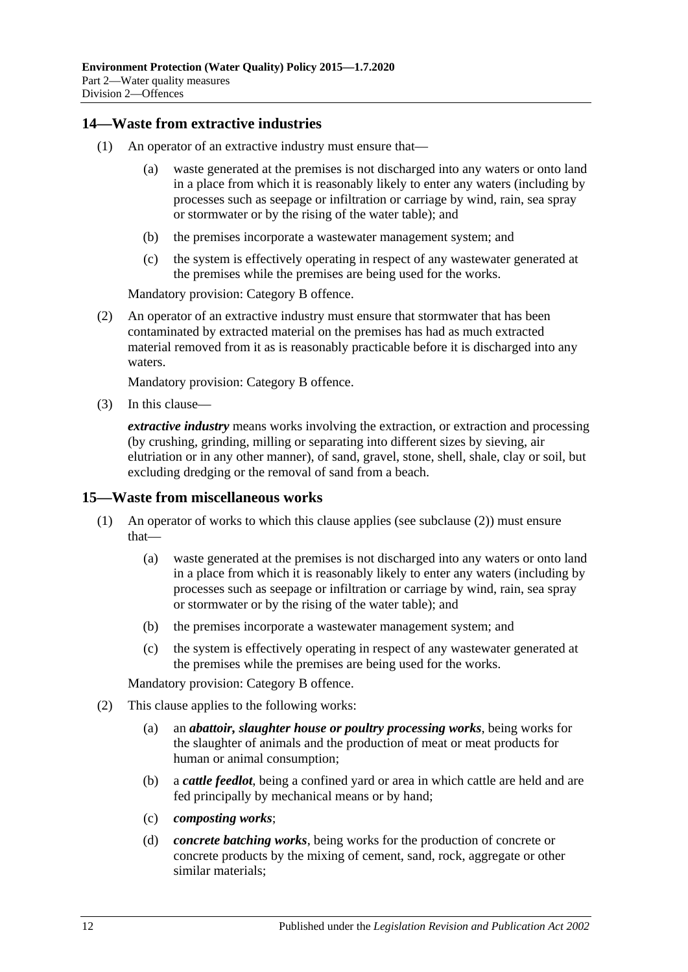### <span id="page-11-0"></span>**14—Waste from extractive industries**

- (1) An operator of an extractive industry must ensure that—
	- (a) waste generated at the premises is not discharged into any waters or onto land in a place from which it is reasonably likely to enter any waters (including by processes such as seepage or infiltration or carriage by wind, rain, sea spray or stormwater or by the rising of the water table); and
	- (b) the premises incorporate a wastewater management system; and
	- (c) the system is effectively operating in respect of any wastewater generated at the premises while the premises are being used for the works.

Mandatory provision: Category B offence.

(2) An operator of an extractive industry must ensure that stormwater that has been contaminated by extracted material on the premises has had as much extracted material removed from it as is reasonably practicable before it is discharged into any waters.

Mandatory provision: Category B offence.

(3) In this clause—

*extractive industry* means works involving the extraction, or extraction and processing (by crushing, grinding, milling or separating into different sizes by sieving, air elutriation or in any other manner), of sand, gravel, stone, shell, shale, clay or soil, but excluding dredging or the removal of sand from a beach.

#### <span id="page-11-1"></span>**15—Waste from miscellaneous works**

- (1) An operator of works to which this clause applies (see [subclause](#page-11-2) (2)) must ensure that—
	- (a) waste generated at the premises is not discharged into any waters or onto land in a place from which it is reasonably likely to enter any waters (including by processes such as seepage or infiltration or carriage by wind, rain, sea spray or stormwater or by the rising of the water table); and
	- (b) the premises incorporate a wastewater management system; and
	- (c) the system is effectively operating in respect of any wastewater generated at the premises while the premises are being used for the works.

- <span id="page-11-2"></span>(2) This clause applies to the following works:
	- (a) an *abattoir, slaughter house or poultry processing works*, being works for the slaughter of animals and the production of meat or meat products for human or animal consumption;
	- (b) a *cattle feedlot*, being a confined yard or area in which cattle are held and are fed principally by mechanical means or by hand;
	- (c) *composting works*;
	- (d) *concrete batching works*, being works for the production of concrete or concrete products by the mixing of cement, sand, rock, aggregate or other similar materials;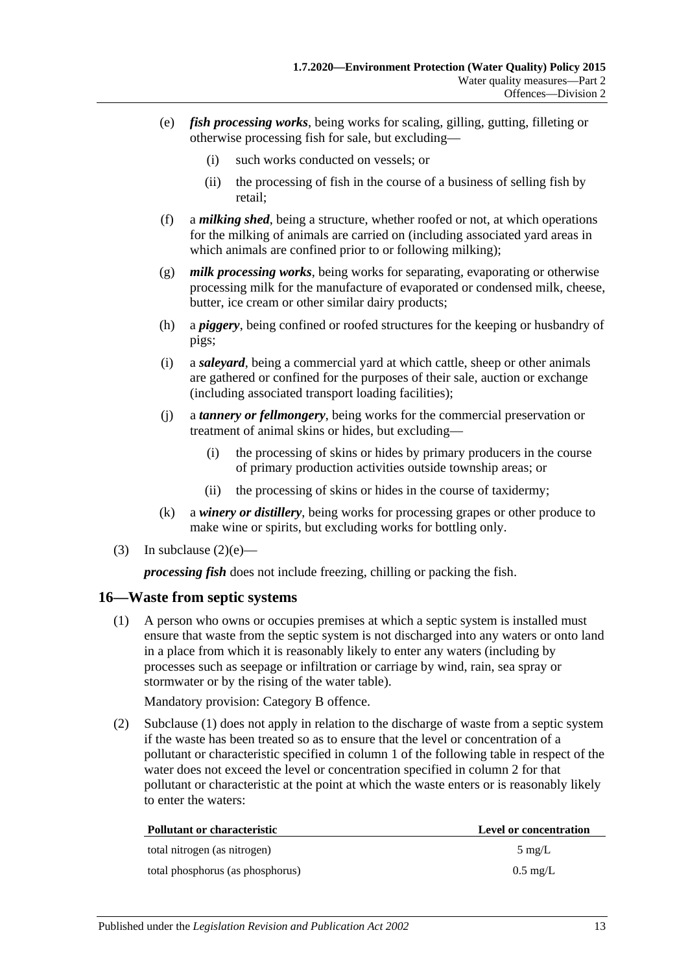- <span id="page-12-1"></span>(e) *fish processing works*, being works for scaling, gilling, gutting, filleting or otherwise processing fish for sale, but excluding—
	- (i) such works conducted on vessels; or
	- (ii) the processing of fish in the course of a business of selling fish by retail;
- (f) a *milking shed*, being a structure, whether roofed or not, at which operations for the milking of animals are carried on (including associated yard areas in which animals are confined prior to or following milking);
- (g) *milk processing works*, being works for separating, evaporating or otherwise processing milk for the manufacture of evaporated or condensed milk, cheese, butter, ice cream or other similar dairy products;
- (h) a *piggery*, being confined or roofed structures for the keeping or husbandry of pigs;
- (i) a *saleyard*, being a commercial yard at which cattle, sheep or other animals are gathered or confined for the purposes of their sale, auction or exchange (including associated transport loading facilities);
- (j) a *tannery or fellmongery*, being works for the commercial preservation or treatment of animal skins or hides, but excluding—
	- (i) the processing of skins or hides by primary producers in the course of primary production activities outside township areas; or
	- (ii) the processing of skins or hides in the course of taxidermy;
- (k) a *winery or distillery*, being works for processing grapes or other produce to make wine or spirits, but excluding works for bottling only.
- (3) In [subclause](#page-12-1)  $(2)(e)$ —

*processing fish* does not include freezing, chilling or packing the fish.

#### <span id="page-12-2"></span><span id="page-12-0"></span>**16—Waste from septic systems**

(1) A person who owns or occupies premises at which a septic system is installed must ensure that waste from the septic system is not discharged into any waters or onto land in a place from which it is reasonably likely to enter any waters (including by processes such as seepage or infiltration or carriage by wind, rain, sea spray or stormwater or by the rising of the water table).

Mandatory provision: Category B offence.

(2) [Subclause](#page-12-2) (1) does not apply in relation to the discharge of waste from a septic system if the waste has been treated so as to ensure that the level or concentration of a pollutant or characteristic specified in column 1 of the following table in respect of the water does not exceed the level or concentration specified in column 2 for that pollutant or characteristic at the point at which the waste enters or is reasonably likely to enter the waters:

| <b>Pollutant or characteristic</b> | Level or concentration |
|------------------------------------|------------------------|
| total nitrogen (as nitrogen)       | $5 \text{ mg/L}$       |
| total phosphorus (as phosphorus)   | $0.5 \text{ mg/L}$     |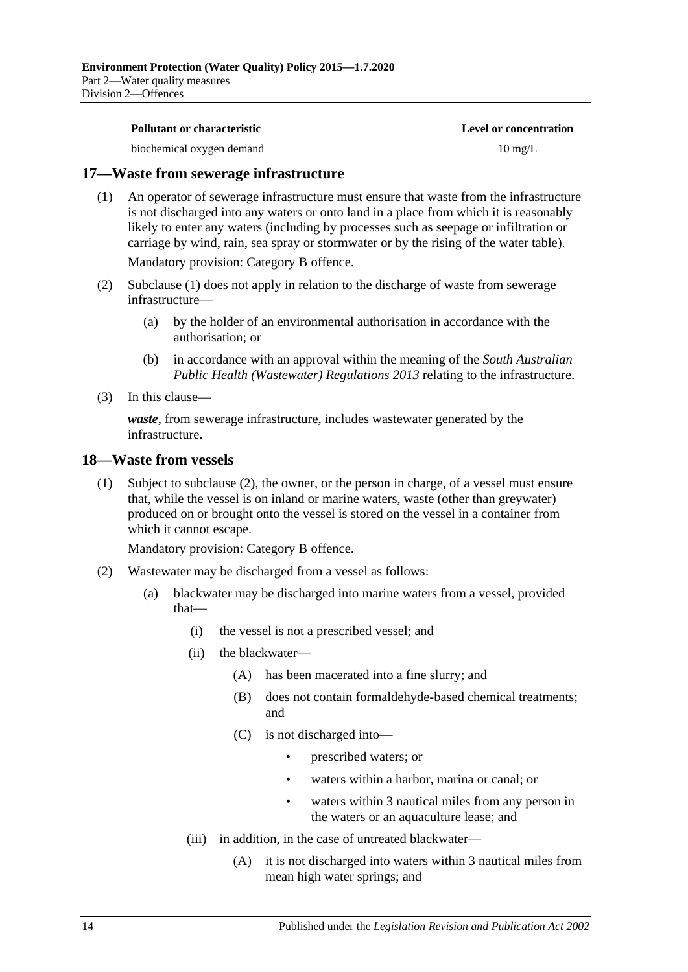| <b>Pollutant or characteristic</b> | <b>Level or concentration</b> |
|------------------------------------|-------------------------------|
| biochemical oxygen demand          | $10 \text{ mg/L}$             |

#### <span id="page-13-2"></span><span id="page-13-0"></span>**17—Waste from sewerage infrastructure**

(1) An operator of sewerage infrastructure must ensure that waste from the infrastructure is not discharged into any waters or onto land in a place from which it is reasonably likely to enter any waters (including by processes such as seepage or infiltration or carriage by wind, rain, sea spray or stormwater or by the rising of the water table). Mandatory provision: Category B offence.

(2) [Subclause](#page-13-2) (1) does not apply in relation to the discharge of waste from sewerage infrastructure—

- (a) by the holder of an environmental authorisation in accordance with the authorisation; or
- (b) in accordance with an approval within the meaning of the *[South Australian](http://www.legislation.sa.gov.au/index.aspx?action=legref&type=subordleg&legtitle=South%20Australian%20Public%20Health%20(Wastewater)%20Regulations%202013)  [Public Health \(Wastewater\) Regulations](http://www.legislation.sa.gov.au/index.aspx?action=legref&type=subordleg&legtitle=South%20Australian%20Public%20Health%20(Wastewater)%20Regulations%202013) 2013* relating to the infrastructure.
- (3) In this clause—

*waste*, from sewerage infrastructure, includes wastewater generated by the infrastructure.

#### <span id="page-13-4"></span><span id="page-13-1"></span>**18—Waste from vessels**

(1) Subject to [subclause](#page-13-3) (2), the owner, or the person in charge, of a vessel must ensure that, while the vessel is on inland or marine waters, waste (other than greywater) produced on or brought onto the vessel is stored on the vessel in a container from which it cannot escape.

- <span id="page-13-3"></span>(2) Wastewater may be discharged from a vessel as follows:
	- (a) blackwater may be discharged into marine waters from a vessel, provided that—
		- (i) the vessel is not a prescribed vessel; and
		- (ii) the blackwater—
			- (A) has been macerated into a fine slurry; and
			- (B) does not contain formaldehyde-based chemical treatments; and
			- (C) is not discharged into—
				- prescribed waters; or
				- waters within a harbor, marina or canal; or
				- waters within 3 nautical miles from any person in the waters or an aquaculture lease; and
		- (iii) in addition, in the case of untreated blackwater—
			- (A) it is not discharged into waters within 3 nautical miles from mean high water springs; and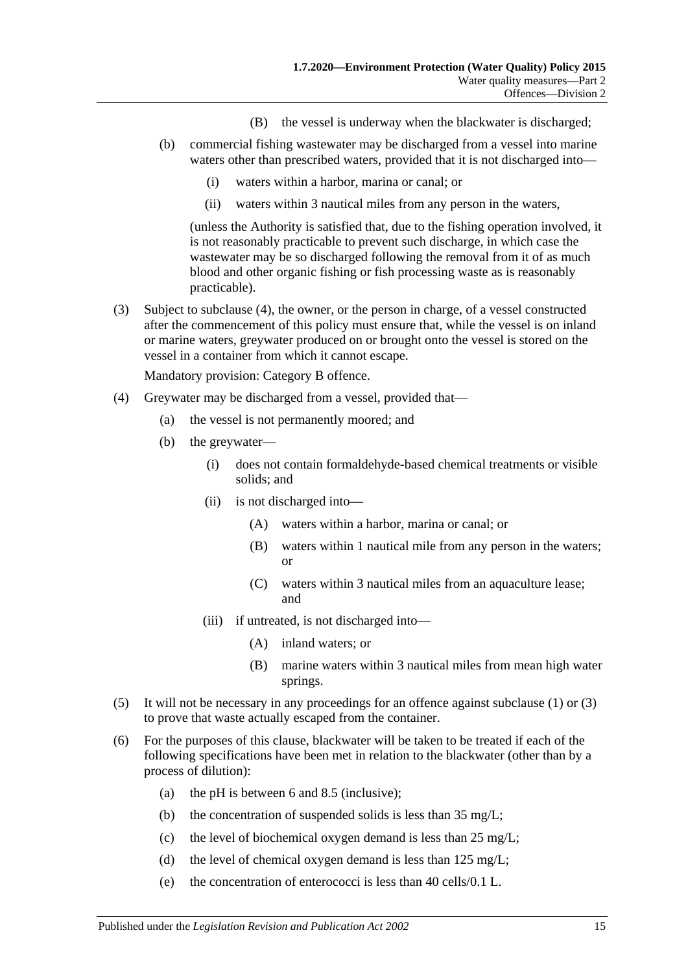- (B) the vessel is underway when the blackwater is discharged;
- (b) commercial fishing wastewater may be discharged from a vessel into marine waters other than prescribed waters, provided that it is not discharged into—
	- (i) waters within a harbor, marina or canal; or
	- (ii) waters within 3 nautical miles from any person in the waters,

(unless the Authority is satisfied that, due to the fishing operation involved, it is not reasonably practicable to prevent such discharge, in which case the wastewater may be so discharged following the removal from it of as much blood and other organic fishing or fish processing waste as is reasonably practicable).

<span id="page-14-1"></span>(3) Subject to [subclause](#page-14-0) (4), the owner, or the person in charge, of a vessel constructed after the commencement of this policy must ensure that, while the vessel is on inland or marine waters, greywater produced on or brought onto the vessel is stored on the vessel in a container from which it cannot escape.

- <span id="page-14-0"></span>(4) Greywater may be discharged from a vessel, provided that—
	- (a) the vessel is not permanently moored; and
	- (b) the greywater—
		- (i) does not contain formaldehyde-based chemical treatments or visible solids; and
		- (ii) is not discharged into—
			- (A) waters within a harbor, marina or canal; or
			- (B) waters within 1 nautical mile from any person in the waters; or
			- (C) waters within 3 nautical miles from an aquaculture lease; and
		- (iii) if untreated, is not discharged into—
			- (A) inland waters; or
			- (B) marine waters within 3 nautical miles from mean high water springs.
- (5) It will not be necessary in any proceedings for an offence against [subclause](#page-13-4) (1) or [\(3\)](#page-14-1) to prove that waste actually escaped from the container.
- <span id="page-14-2"></span>(6) For the purposes of this clause, blackwater will be taken to be treated if each of the following specifications have been met in relation to the blackwater (other than by a process of dilution):
	- (a) the pH is between 6 and 8.5 (inclusive);
	- (b) the concentration of suspended solids is less than 35 mg/L;
	- (c) the level of biochemical oxygen demand is less than 25 mg/L;
	- (d) the level of chemical oxygen demand is less than  $125 \text{ mg/L}$ ;
	- (e) the concentration of enterococci is less than 40 cells/0.1 L.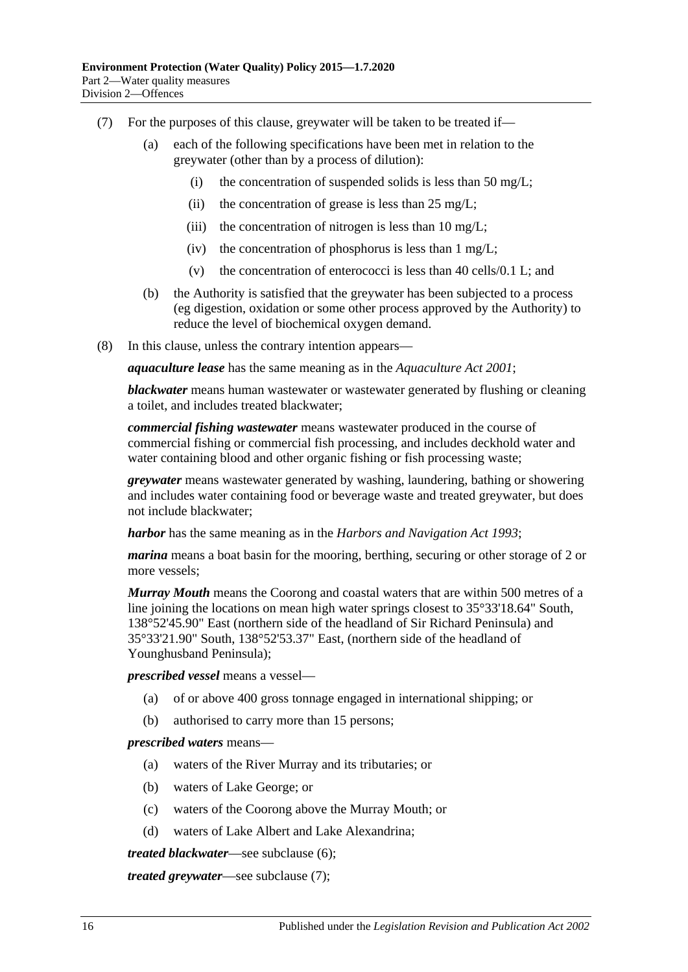- <span id="page-15-0"></span>(7) For the purposes of this clause, greywater will be taken to be treated if—
	- (a) each of the following specifications have been met in relation to the greywater (other than by a process of dilution):
		- (i) the concentration of suspended solids is less than 50 mg/L;
		- (ii) the concentration of grease is less than  $25 \text{ mg/L}$ ;
		- (iii) the concentration of nitrogen is less than  $10 \text{ mg/L}$ ;
		- (iv) the concentration of phosphorus is less than  $1 \text{ mg/L}$ ;
		- (v) the concentration of enterococci is less than 40 cells/0.1 L; and
	- (b) the Authority is satisfied that the greywater has been subjected to a process (eg digestion, oxidation or some other process approved by the Authority) to reduce the level of biochemical oxygen demand.
- (8) In this clause, unless the contrary intention appears—

*aquaculture lease* has the same meaning as in the *[Aquaculture Act](http://www.legislation.sa.gov.au/index.aspx?action=legref&type=act&legtitle=Aquaculture%20Act%202001) 2001*;

*blackwater* means human wastewater or wastewater generated by flushing or cleaning a toilet, and includes treated blackwater;

*commercial fishing wastewater* means wastewater produced in the course of commercial fishing or commercial fish processing, and includes deckhold water and water containing blood and other organic fishing or fish processing waste;

*greywater* means wastewater generated by washing, laundering, bathing or showering and includes water containing food or beverage waste and treated greywater, but does not include blackwater;

*harbor* has the same meaning as in the *[Harbors and Navigation Act](http://www.legislation.sa.gov.au/index.aspx?action=legref&type=act&legtitle=Harbors%20and%20Navigation%20Act%201993) 1993*;

*marina* means a boat basin for the mooring, berthing, securing or other storage of 2 or more vessels;

*Murray Mouth* means the Coorong and coastal waters that are within 500 metres of a line joining the locations on mean high water springs closest to 35°33'18.64" South, 138°52'45.90" East (northern side of the headland of Sir Richard Peninsula) and 35°33'21.90" South, 138°52'53.37" East, (northern side of the headland of Younghusband Peninsula);

*prescribed vessel* means a vessel—

- (a) of or above 400 gross tonnage engaged in international shipping; or
- (b) authorised to carry more than 15 persons;

#### *prescribed waters* means—

- (a) waters of the River Murray and its tributaries; or
- (b) waters of Lake George; or
- (c) waters of the Coorong above the Murray Mouth; or
- (d) waters of Lake Albert and Lake Alexandrina;

*treated blackwater*—see [subclause](#page-14-2) (6);

*treated greywater*—see [subclause](#page-15-0) (7);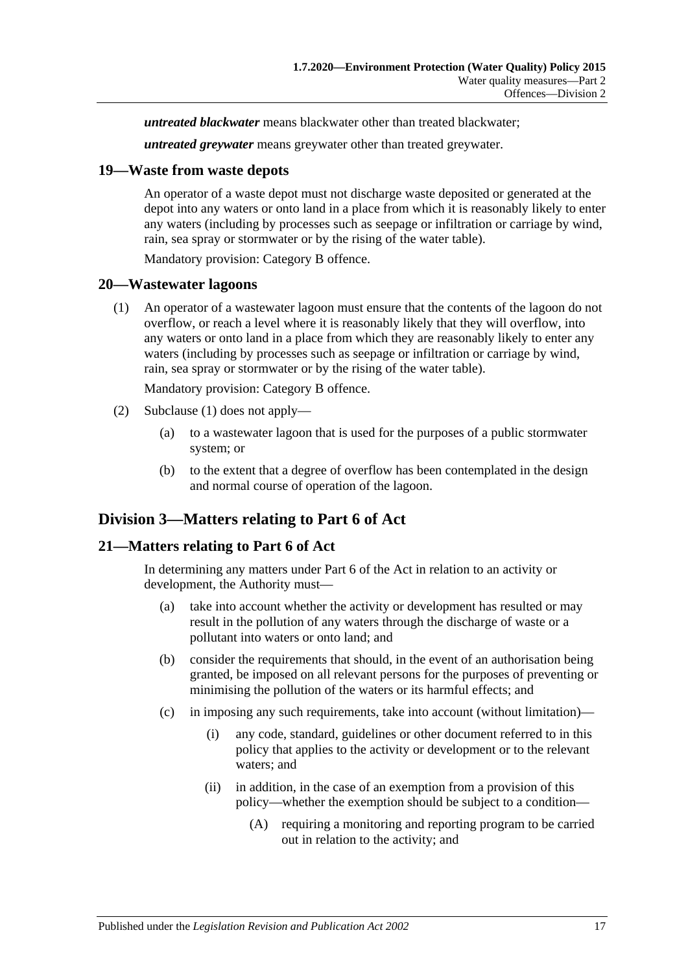*untreated blackwater* means blackwater other than treated blackwater;

*untreated greywater* means greywater other than treated greywater.

#### <span id="page-16-0"></span>**19—Waste from waste depots**

An operator of a waste depot must not discharge waste deposited or generated at the depot into any waters or onto land in a place from which it is reasonably likely to enter any waters (including by processes such as seepage or infiltration or carriage by wind, rain, sea spray or stormwater or by the rising of the water table).

Mandatory provision: Category B offence.

#### <span id="page-16-4"></span><span id="page-16-1"></span>**20—Wastewater lagoons**

(1) An operator of a wastewater lagoon must ensure that the contents of the lagoon do not overflow, or reach a level where it is reasonably likely that they will overflow, into any waters or onto land in a place from which they are reasonably likely to enter any waters (including by processes such as seepage or infiltration or carriage by wind, rain, sea spray or stormwater or by the rising of the water table).

Mandatory provision: Category B offence.

- (2) [Subclause](#page-16-4) (1) does not apply—
	- (a) to a wastewater lagoon that is used for the purposes of a public stormwater system; or
	- (b) to the extent that a degree of overflow has been contemplated in the design and normal course of operation of the lagoon.

## <span id="page-16-2"></span>**Division 3—Matters relating to Part 6 of Act**

### <span id="page-16-3"></span>**21—Matters relating to Part 6 of Act**

In determining any matters under Part 6 of the Act in relation to an activity or development, the Authority must—

- (a) take into account whether the activity or development has resulted or may result in the pollution of any waters through the discharge of waste or a pollutant into waters or onto land; and
- (b) consider the requirements that should, in the event of an authorisation being granted, be imposed on all relevant persons for the purposes of preventing or minimising the pollution of the waters or its harmful effects; and
- (c) in imposing any such requirements, take into account (without limitation)—
	- (i) any code, standard, guidelines or other document referred to in this policy that applies to the activity or development or to the relevant waters; and
	- (ii) in addition, in the case of an exemption from a provision of this policy—whether the exemption should be subject to a condition—
		- (A) requiring a monitoring and reporting program to be carried out in relation to the activity; and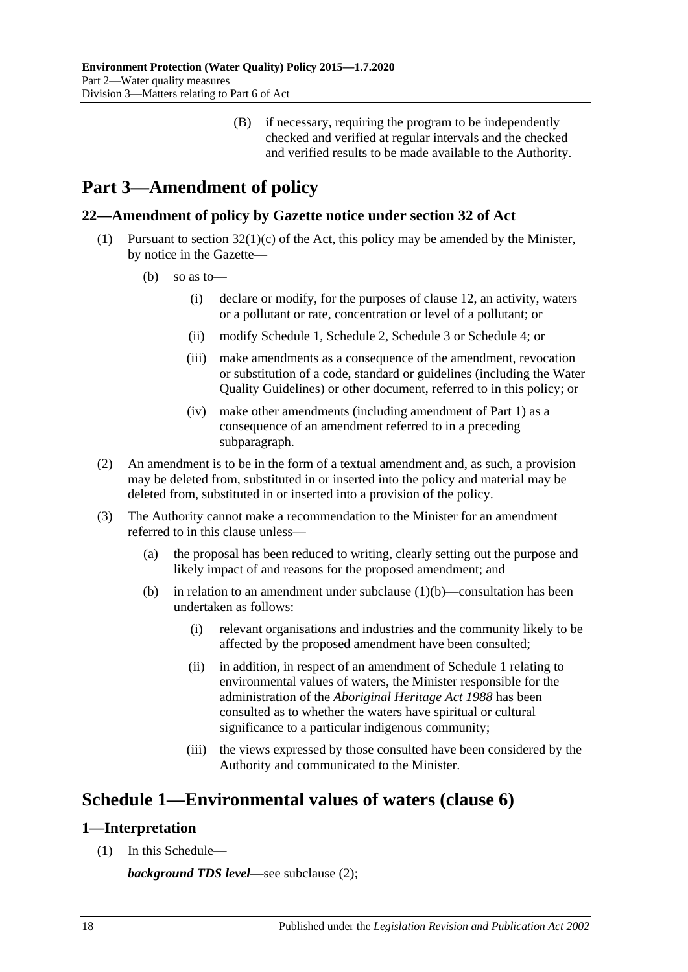(B) if necessary, requiring the program to be independently checked and verified at regular intervals and the checked and verified results to be made available to the Authority.

# <span id="page-17-0"></span>**Part 3—Amendment of policy**

## <span id="page-17-1"></span>**22—Amendment of policy by Gazette notice under section 32 of Act**

- <span id="page-17-4"></span>(1) Pursuant to section  $32(1)(c)$  of the Act, this policy may be amended by the Minister, by notice in the Gazette—
	- (b) so as to—
		- (i) declare or modify, for the purposes of [clause](#page-8-1) 12, an activity, waters or a pollutant or rate, concentration or level of a pollutant; or
		- (ii) modify [Schedule](#page-17-2) 1, [Schedule](#page-19-0) 2, [Schedule](#page-20-0) 3 or [Schedule](#page-21-0) 4; or
		- (iii) make amendments as a consequence of the amendment, revocation or substitution of a code, standard or guidelines (including the Water Quality Guidelines) or other document, referred to in this policy; or
		- (iv) make other amendments (including amendment of [Part](#page-1-0) 1) as a consequence of an amendment referred to in a preceding subparagraph.
- (2) An amendment is to be in the form of a textual amendment and, as such, a provision may be deleted from, substituted in or inserted into the policy and material may be deleted from, substituted in or inserted into a provision of the policy.
- (3) The Authority cannot make a recommendation to the Minister for an amendment referred to in this clause unless—
	- (a) the proposal has been reduced to writing, clearly setting out the purpose and likely impact of and reasons for the proposed amendment; and
	- (b) in relation to an amendment under [subclause](#page-17-4)  $(1)(b)$ —consultation has been undertaken as follows:
		- (i) relevant organisations and industries and the community likely to be affected by the proposed amendment have been consulted;
		- (ii) in addition, in respect of an amendment of [Schedule](#page-17-2) 1 relating to environmental values of waters, the Minister responsible for the administration of the *[Aboriginal Heritage Act](http://www.legislation.sa.gov.au/index.aspx?action=legref&type=act&legtitle=Aboriginal%20Heritage%20Act%201988) 1988* has been consulted as to whether the waters have spiritual or cultural significance to a particular indigenous community;
		- (iii) the views expressed by those consulted have been considered by the Authority and communicated to the Minister.

# <span id="page-17-2"></span>**Schedule 1—Environmental values of waters [\(clause](#page-4-1) 6)**

### <span id="page-17-3"></span>**1—Interpretation**

(1) In this Schedule—

*background TDS level*—see [subclause](#page-18-2) (2);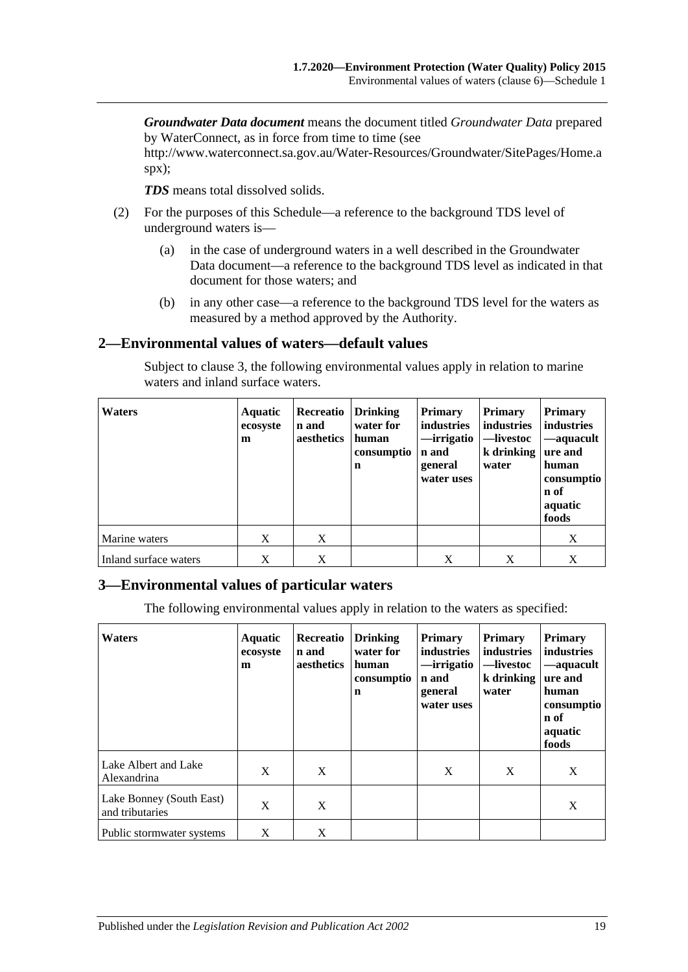*Groundwater Data document* means the document titled *Groundwater Data* prepared by WaterConnect, as in force from time to time (see

http://www.waterconnect.sa.gov.au/Water-Resources/Groundwater/SitePages/Home.a spx);

*TDS* means total dissolved solids.

- <span id="page-18-2"></span>(2) For the purposes of this Schedule—a reference to the background TDS level of underground waters is—
	- (a) in the case of underground waters in a well described in the Groundwater Data document—a reference to the background TDS level as indicated in that document for those waters; and
	- (b) in any other case—a reference to the background TDS level for the waters as measured by a method approved by the Authority.

### <span id="page-18-0"></span>**2—Environmental values of waters—default values**

Subject to [clause](#page-18-1) 3, the following environmental values apply in relation to marine waters and inland surface waters.

| <b>Waters</b>         | <b>Aquatic</b><br>ecosyste<br>m | Recreatio<br>n and<br>aesthetics | Drinking<br>water for<br>human<br>consumptio<br>$\mathbf n$ | <b>Primary</b><br>industries<br>—irrigatio<br>n and<br>general<br>water uses | <b>Primary</b><br>industries<br>—livestoc<br>$k$ drinking<br>water | <b>Primary</b><br>industries<br>—aquacult<br>ure and<br>human<br>consumptio<br>n of<br>aquatic<br>foods |
|-----------------------|---------------------------------|----------------------------------|-------------------------------------------------------------|------------------------------------------------------------------------------|--------------------------------------------------------------------|---------------------------------------------------------------------------------------------------------|
| Marine waters         | X                               | X                                |                                                             |                                                                              |                                                                    | X                                                                                                       |
| Inland surface waters | X                               | X                                |                                                             | X                                                                            | Χ                                                                  | X                                                                                                       |

### <span id="page-18-1"></span>**3—Environmental values of particular waters**

The following environmental values apply in relation to the waters as specified:

| <b>Waters</b>                               | <b>Aquatic</b><br>ecosyste<br>m | Recreatio<br>n and<br>aesthetics | <b>Drinking</b><br>water for<br>human<br>consumptio<br>n | <b>Primary</b><br>industries<br>—irrigatio<br>n and<br>general<br>water uses | <b>Primary</b><br>industries<br>—livestoc<br>k drinking<br>water | <b>Primary</b><br>industries<br>-aquacult<br>ure and<br>human<br>consumptio<br>n of<br>aquatic<br>foods |
|---------------------------------------------|---------------------------------|----------------------------------|----------------------------------------------------------|------------------------------------------------------------------------------|------------------------------------------------------------------|---------------------------------------------------------------------------------------------------------|
| Lake Albert and Lake<br>Alexandrina         | X                               | X                                |                                                          | X                                                                            | X                                                                | X                                                                                                       |
| Lake Bonney (South East)<br>and tributaries | X                               | X                                |                                                          |                                                                              |                                                                  | X                                                                                                       |
| Public stormwater systems                   | X                               | X                                |                                                          |                                                                              |                                                                  |                                                                                                         |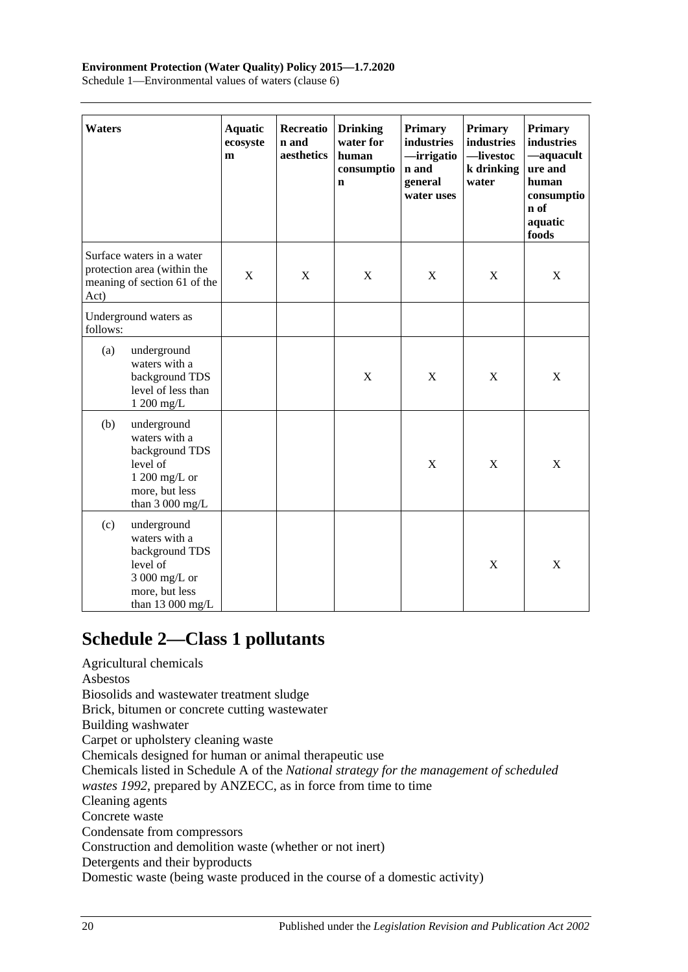#### **Environment Protection (Water Quality) Policy 2015—1.7.2020**

Schedule 1—Environmental values of waters (clause 6)

| <b>Waters</b> |                                                                                                                           | <b>Aquatic</b><br>ecosyste<br>m | <b>Recreatio</b><br>n and<br>aesthetics | <b>Drinking</b><br>water for<br>human<br>consumptio<br>n | Primary<br>industries<br>-irrigatio<br>n and<br>general<br>water uses | <b>Primary</b><br>industries<br>-livestoc<br>k drinking<br>water | <b>Primary</b><br>industries<br>-aquacult<br>ure and<br>human<br>consumptio<br>n of<br>aquatic<br>foods |
|---------------|---------------------------------------------------------------------------------------------------------------------------|---------------------------------|-----------------------------------------|----------------------------------------------------------|-----------------------------------------------------------------------|------------------------------------------------------------------|---------------------------------------------------------------------------------------------------------|
| Act)          | Surface waters in a water<br>protection area (within the<br>meaning of section 61 of the                                  | X                               | X                                       | X                                                        | X                                                                     | X                                                                | X                                                                                                       |
| follows:      | Underground waters as                                                                                                     |                                 |                                         |                                                          |                                                                       |                                                                  |                                                                                                         |
| (a)           | underground<br>waters with a<br>background TDS<br>level of less than<br>1 200 mg/L                                        |                                 |                                         | $\mathbf X$                                              | $\mathbf X$                                                           | $\mathbf X$                                                      | X                                                                                                       |
| (b)           | underground<br>waters with a<br>background TDS<br>level of<br>1 200 mg/L or<br>more, but less<br>than $3000 \text{ mg/L}$ |                                 |                                         |                                                          | $\boldsymbol{\mathrm{X}}$                                             | $\mathbf X$                                                      | X                                                                                                       |
| (c)           | underground<br>waters with a<br>background TDS<br>level of<br>3 000 mg/L or<br>more, but less<br>than 13 000 mg/L         |                                 |                                         |                                                          |                                                                       | $\mathbf X$                                                      | $\boldsymbol{\mathrm{X}}$                                                                               |

# <span id="page-19-0"></span>**Schedule 2—Class 1 pollutants**

Agricultural chemicals Asbestos Biosolids and wastewater treatment sludge Brick, bitumen or concrete cutting wastewater Building washwater Carpet or upholstery cleaning waste Chemicals designed for human or animal therapeutic use Chemicals listed in Schedule A of the *National strategy for the management of scheduled wastes 1992*, prepared by ANZECC, as in force from time to time Cleaning agents Concrete waste Condensate from compressors Construction and demolition waste (whether or not inert) Detergents and their byproducts Domestic waste (being waste produced in the course of a domestic activity)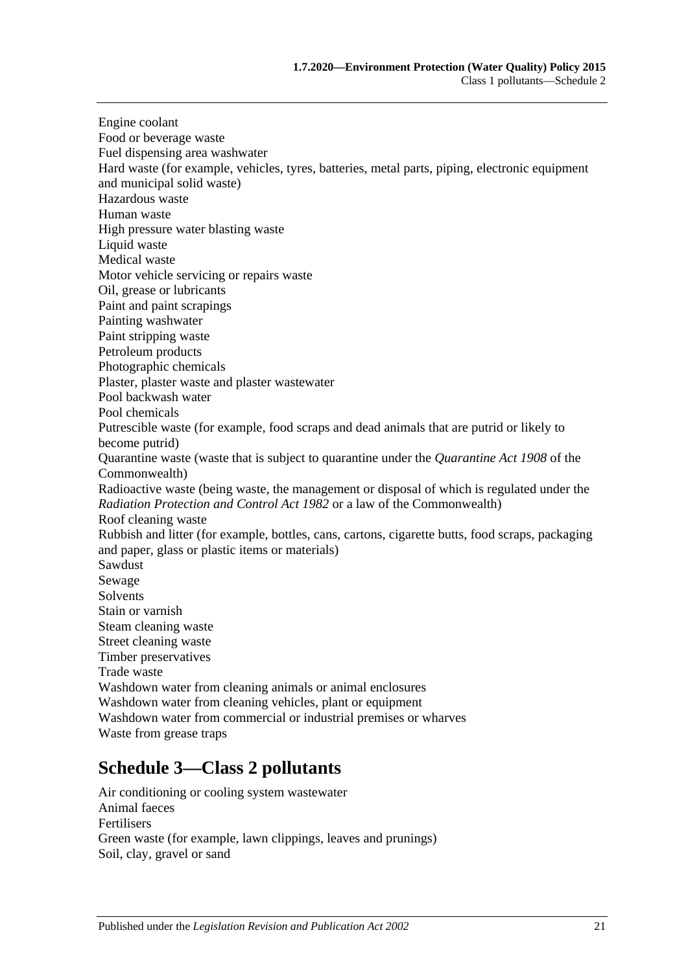Engine coolant Food or beverage waste Fuel dispensing area washwater Hard waste (for example, vehicles, tyres, batteries, metal parts, piping, electronic equipment and municipal solid waste) Hazardous waste Human waste High pressure water blasting waste Liquid waste Medical waste Motor vehicle servicing or repairs waste Oil, grease or lubricants Paint and paint scrapings Painting washwater Paint stripping waste Petroleum products Photographic chemicals Plaster, plaster waste and plaster wastewater Pool backwash water Pool chemicals Putrescible waste (for example, food scraps and dead animals that are putrid or likely to become putrid) Quarantine waste (waste that is subject to quarantine under the *Quarantine Act 1908* of the Commonwealth) Radioactive waste (being waste, the management or disposal of which is regulated under the *[Radiation Protection and Control Act](http://www.legislation.sa.gov.au/index.aspx?action=legref&type=act&legtitle=Radiation%20Protection%20and%20Control%20Act%201982) 1982* or a law of the Commonwealth) Roof cleaning waste Rubbish and litter (for example, bottles, cans, cartons, cigarette butts, food scraps, packaging and paper, glass or plastic items or materials) Sawdust Sewage **Solvents** Stain or varnish Steam cleaning waste Street cleaning waste Timber preservatives Trade waste Washdown water from cleaning animals or animal enclosures Washdown water from cleaning vehicles, plant or equipment Washdown water from commercial or industrial premises or wharves Waste from grease traps

# <span id="page-20-0"></span>**Schedule 3—Class 2 pollutants**

Air conditioning or cooling system wastewater Animal faeces Fertilisers Green waste (for example, lawn clippings, leaves and prunings) Soil, clay, gravel or sand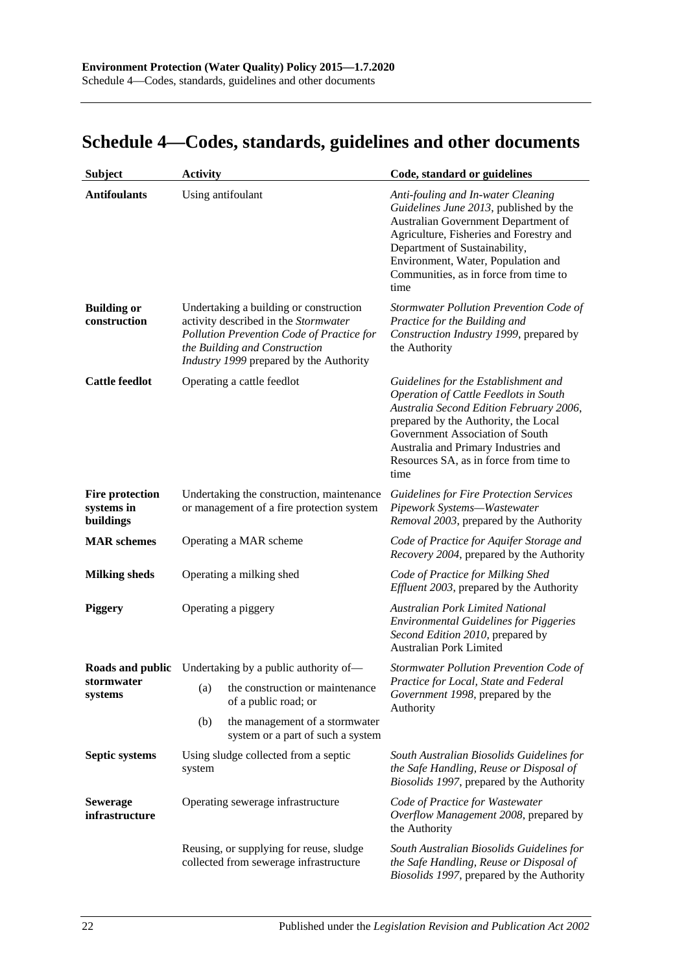# <span id="page-21-0"></span>**Schedule 4—Codes, standards, guidelines and other documents**

| <b>Subject</b>                                    | <b>Activity</b>                                                                                                        |                                                                                                                                                                                                         | Code, standard or guidelines                                                                                                                                                                                                                                                                         |
|---------------------------------------------------|------------------------------------------------------------------------------------------------------------------------|---------------------------------------------------------------------------------------------------------------------------------------------------------------------------------------------------------|------------------------------------------------------------------------------------------------------------------------------------------------------------------------------------------------------------------------------------------------------------------------------------------------------|
| <b>Antifoulants</b>                               |                                                                                                                        | Using antifoulant                                                                                                                                                                                       | Anti-fouling and In-water Cleaning<br>Guidelines June 2013, published by the<br>Australian Government Department of<br>Agriculture, Fisheries and Forestry and<br>Department of Sustainability,<br>Environment, Water, Population and<br>Communities, as in force from time to<br>time               |
| <b>Building or</b><br>construction                |                                                                                                                        | Undertaking a building or construction<br>activity described in the Stormwater<br>Pollution Prevention Code of Practice for<br>the Building and Construction<br>Industry 1999 prepared by the Authority | Stormwater Pollution Prevention Code of<br>Practice for the Building and<br>Construction Industry 1999, prepared by<br>the Authority                                                                                                                                                                 |
| <b>Cattle feedlot</b>                             |                                                                                                                        | Operating a cattle feedlot                                                                                                                                                                              | Guidelines for the Establishment and<br><b>Operation of Cattle Feedlots in South</b><br>Australia Second Edition February 2006,<br>prepared by the Authority, the Local<br>Government Association of South<br>Australia and Primary Industries and<br>Resources SA, as in force from time to<br>time |
| <b>Fire protection</b><br>systems in<br>buildings |                                                                                                                        | Undertaking the construction, maintenance<br>or management of a fire protection system                                                                                                                  | <b>Guidelines for Fire Protection Services</b><br>Pipework Systems-Wastewater<br>Removal 2003, prepared by the Authority                                                                                                                                                                             |
| <b>MAR</b> schemes                                |                                                                                                                        | Operating a MAR scheme                                                                                                                                                                                  | Code of Practice for Aquifer Storage and<br>Recovery 2004, prepared by the Authority                                                                                                                                                                                                                 |
| <b>Milking sheds</b>                              |                                                                                                                        | Operating a milking shed                                                                                                                                                                                | Code of Practice for Milking Shed<br><i>Effluent 2003</i> , prepared by the Authority                                                                                                                                                                                                                |
| Piggery                                           |                                                                                                                        | Operating a piggery                                                                                                                                                                                     | Australian Pork Limited National<br><b>Environmental Guidelines for Piggeries</b><br>Second Edition 2010, prepared by<br><b>Australian Pork Limited</b>                                                                                                                                              |
|                                                   |                                                                                                                        | <b>Roads and public</b> Undertaking by a public authority of-                                                                                                                                           | Stormwater Pollution Prevention Code of                                                                                                                                                                                                                                                              |
| stormwater<br>systems                             | (a)                                                                                                                    | the construction or maintenance<br>of a public road; or                                                                                                                                                 | Practice for Local, State and Federal<br>Government 1998, prepared by the<br>Authority                                                                                                                                                                                                               |
|                                                   | (b)                                                                                                                    | the management of a stormwater<br>system or a part of such a system                                                                                                                                     |                                                                                                                                                                                                                                                                                                      |
| <b>Septic systems</b>                             | system                                                                                                                 | Using sludge collected from a septic                                                                                                                                                                    | South Australian Biosolids Guidelines for<br>the Safe Handling, Reuse or Disposal of<br>Biosolids 1997, prepared by the Authority                                                                                                                                                                    |
| <b>Sewerage</b><br>infrastructure                 | Operating sewerage infrastructure<br>Reusing, or supplying for reuse, sludge<br>collected from sewerage infrastructure |                                                                                                                                                                                                         | Code of Practice for Wastewater<br>Overflow Management 2008, prepared by<br>the Authority                                                                                                                                                                                                            |
|                                                   |                                                                                                                        |                                                                                                                                                                                                         | South Australian Biosolids Guidelines for<br>the Safe Handling, Reuse or Disposal of<br>Biosolids 1997, prepared by the Authority                                                                                                                                                                    |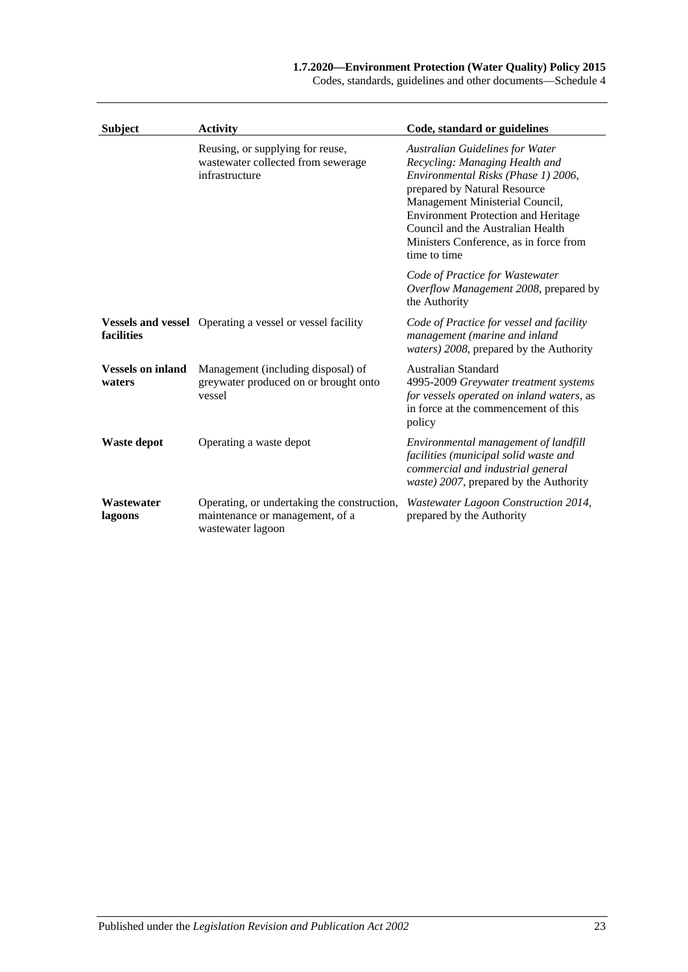#### **1.7.2020—Environment Protection (Water Quality) Policy 2015**

Codes, standards, guidelines and other documents—Schedule 4

| <b>Subject</b>                     | <b>Activity</b>                                                                                     | Code, standard or guidelines                                                                                                                                                                                                                                                                                                    |
|------------------------------------|-----------------------------------------------------------------------------------------------------|---------------------------------------------------------------------------------------------------------------------------------------------------------------------------------------------------------------------------------------------------------------------------------------------------------------------------------|
|                                    | Reusing, or supplying for reuse,<br>wastewater collected from sewerage<br>infrastructure            | <b>Australian Guidelines for Water</b><br>Recycling: Managing Health and<br>Environmental Risks (Phase 1) 2006,<br>prepared by Natural Resource<br>Management Ministerial Council,<br><b>Environment Protection and Heritage</b><br>Council and the Australian Health<br>Ministers Conference, as in force from<br>time to time |
|                                    |                                                                                                     | Code of Practice for Wastewater<br>Overflow Management 2008, prepared by<br>the Authority                                                                                                                                                                                                                                       |
| facilities                         | <b>Vessels and vessel</b> Operating a vessel or vessel facility                                     | Code of Practice for vessel and facility<br>management (marine and inland<br>waters) 2008, prepared by the Authority                                                                                                                                                                                                            |
| <b>Vessels on inland</b><br>waters | Management (including disposal) of<br>greywater produced on or brought onto<br>vessel               | Australian Standard<br>4995-2009 Greywater treatment systems<br>for vessels operated on inland waters, as<br>in force at the commencement of this<br>policy                                                                                                                                                                     |
| Waste depot                        | Operating a waste depot                                                                             | Environmental management of landfill<br>facilities (municipal solid waste and<br>commercial and industrial general<br>waste) 2007, prepared by the Authority                                                                                                                                                                    |
| Wastewater<br>lagoons              | Operating, or undertaking the construction,<br>maintenance or management, of a<br>wastewater lagoon | Wastewater Lagoon Construction 2014,<br>prepared by the Authority                                                                                                                                                                                                                                                               |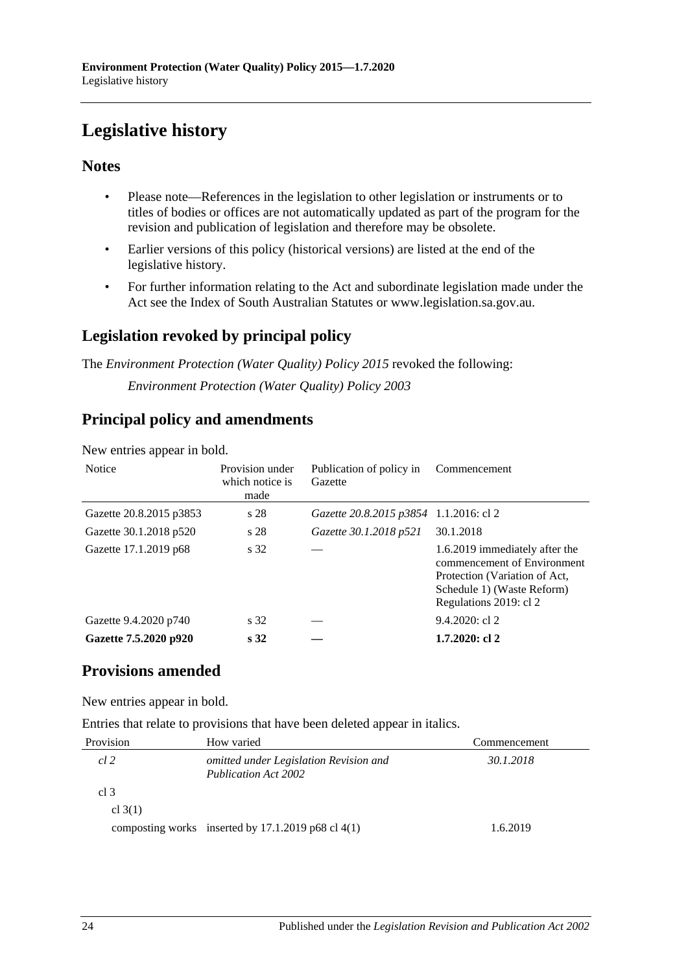# <span id="page-23-0"></span>**Legislative history**

## **Notes**

- Please note—References in the legislation to other legislation or instruments or to titles of bodies or offices are not automatically updated as part of the program for the revision and publication of legislation and therefore may be obsolete.
- Earlier versions of this policy (historical versions) are listed at the end of the legislative history.
- For further information relating to the Act and subordinate legislation made under the Act see the Index of South Australian Statutes or www.legislation.sa.gov.au.

## **Legislation revoked by principal policy**

The *Environment Protection (Water Quality) Policy 2015* revoked the following:

*Environment Protection (Water Quality) Policy 2003*

## **Principal policy and amendments**

| <b>Notice</b>           | Provision under<br>which notice is<br>made | Publication of policy in<br>Gazette    | Commencement                                                                                                                                           |
|-------------------------|--------------------------------------------|----------------------------------------|--------------------------------------------------------------------------------------------------------------------------------------------------------|
| Gazette 20.8.2015 p3853 | s 28                                       | Gazette 20.8.2015 p3854 1.1.2016: cl 2 |                                                                                                                                                        |
| Gazette 30.1.2018 p520  | s 28                                       | Gazette 30.1.2018 p521                 | 30.1.2018                                                                                                                                              |
| Gazette 17.1.2019 p68   | s 32                                       |                                        | 1.6.2019 immediately after the<br>commencement of Environment<br>Protection (Variation of Act,<br>Schedule 1) (Waste Reform)<br>Regulations 2019: cl 2 |
| Gazette 9.4.2020 p740   | s 32                                       |                                        | $9.4.2020$ : cl 2                                                                                                                                      |
| Gazette 7.5.2020 p920   | s <sub>32</sub>                            |                                        | $1.7.2020:$ cl 2                                                                                                                                       |

New entries appear in bold.

## **Provisions amended**

New entries appear in bold.

Entries that relate to provisions that have been deleted appear in italics.

| Provision       | How varied                                                            | Commencement |
|-----------------|-----------------------------------------------------------------------|--------------|
| cl 2            | omitted under Legislation Revision and<br><b>Publication Act 2002</b> | 30.1.2018    |
| cl <sub>3</sub> |                                                                       |              |
| cl $3(1)$       |                                                                       |              |
|                 | composting works inserted by $17.1.2019$ p68 cl $4(1)$                | 1.6.2019     |